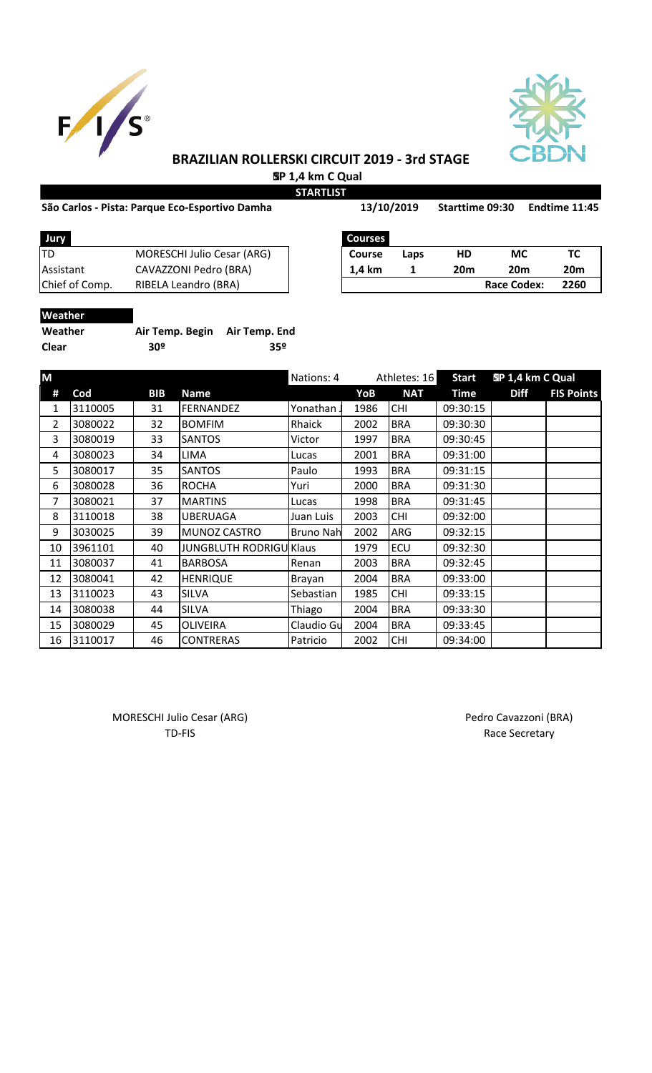



# **BRAZILIAN ROLLERSKI CIRCUIT 2019 - 3rd STAGE SP 1,4 km C Qual**

**STARTLIST**

# São Carlos - Pista: Parque Eco-Esportivo Damha 13/10/2019 Starttime 09:30 Endtime 11:45

| uue Eco-Esportivo Damha |  |
|-------------------------|--|
|                         |  |

**13/10/2019**

| <b>Jury</b>      |                                   | <b>Courses</b> |      |                 |                    |                 |
|------------------|-----------------------------------|----------------|------|-----------------|--------------------|-----------------|
| ITD              | <b>MORESCHI Julio Cesar (ARG)</b> | Course         | Laps | HD              | МC                 |                 |
| <b>Assistant</b> | CAVAZZONI Pedro (BRA)             | 1.4 km         |      | 20 <sub>m</sub> | 20m                | 20 <sub>m</sub> |
| Chief of Comp.   | RIBELA Leandro (BRA)              |                |      |                 | <b>Race Codex:</b> | 2260            |
|                  |                                   |                |      |                 |                    |                 |

| Courses       |      |     |                    |                 |
|---------------|------|-----|--------------------|-----------------|
| <b>Course</b> | Laps | HD  | МC                 | тс              |
| 1.4 km        |      | 20m | 20m                | 20 <sub>m</sub> |
|               |      |     | <b>Race Codex:</b> | 2260            |

# **Weather**

| Weather      | Air Temp. Begin Air Temp. End |     |
|--------------|-------------------------------|-----|
| <b>Clear</b> | 30º                           | 359 |

| M  |         |            |                                | Nations: 4 | Athletes: 16 |            | <b>Start</b> | SP 1,4 km C Qual |                   |
|----|---------|------------|--------------------------------|------------|--------------|------------|--------------|------------------|-------------------|
| #  | Cod     | <b>BIB</b> | <b>Name</b>                    |            | YoB          | <b>NAT</b> | <b>Time</b>  | <b>Diff</b>      | <b>FIS Points</b> |
| 1  | 3110005 | 31         | <b>FERNANDEZ</b>               | Yonathan.  | 1986         | <b>CHI</b> | 09:30:15     |                  |                   |
| 2  | 3080022 | 32         | <b>BOMFIM</b>                  | Rhaick     | 2002         | <b>BRA</b> | 09:30:30     |                  |                   |
| 3  | 3080019 | 33         | <b>SANTOS</b>                  | Victor     | 1997         | <b>BRA</b> | 09:30:45     |                  |                   |
| 4  | 3080023 | 34         | <b>LIMA</b>                    | Lucas      | 2001         | <b>BRA</b> | 09:31:00     |                  |                   |
| 5  | 3080017 | 35         | <b>SANTOS</b>                  | Paulo      | 1993         | <b>BRA</b> | 09:31:15     |                  |                   |
| 6  | 3080028 | 36         | <b>ROCHA</b>                   | Yuri       | 2000         | <b>BRA</b> | 09:31:30     |                  |                   |
| 7  | 3080021 | 37         | <b>MARTINS</b>                 | Lucas      | 1998         | <b>BRA</b> | 09:31:45     |                  |                   |
| 8  | 3110018 | 38         | <b>UBERUAGA</b>                | Juan Luis  | 2003         | <b>CHI</b> | 09:32:00     |                  |                   |
| 9  | 3030025 | 39         | <b>MUNOZ CASTRO</b>            | Bruno Nah  | 2002         | ARG        | 09:32:15     |                  |                   |
| 10 | 3961101 | 40         | <b>JUNGBLUTH RODRIGU Klaus</b> |            | 1979         | ECU        | 09:32:30     |                  |                   |
| 11 | 3080037 | 41         | <b>BARBOSA</b>                 | Renan      | 2003         | <b>BRA</b> | 09:32:45     |                  |                   |
| 12 | 3080041 | 42         | <b>HENRIQUE</b>                | Brayan     | 2004         | <b>BRA</b> | 09:33:00     |                  |                   |
| 13 | 3110023 | 43         | <b>SILVA</b>                   | Sebastian  | 1985         | <b>CHI</b> | 09:33:15     |                  |                   |
| 14 | 3080038 | 44         | <b>SILVA</b>                   | Thiago     | 2004         | <b>BRA</b> | 09:33:30     |                  |                   |
| 15 | 3080029 | 45         | <b>OLIVEIRA</b>                | Claudio Gu | 2004         | <b>BRA</b> | 09:33:45     |                  |                   |
| 16 | 3110017 | 46         | <b>CONTRERAS</b>               | Patricio   | 2002         | <b>CHI</b> | 09:34:00     |                  |                   |

MORESCHI Julio Cesar (ARG) and a material control of the Pedro Cavazzoni (BRA) TD-FIS Race Secretary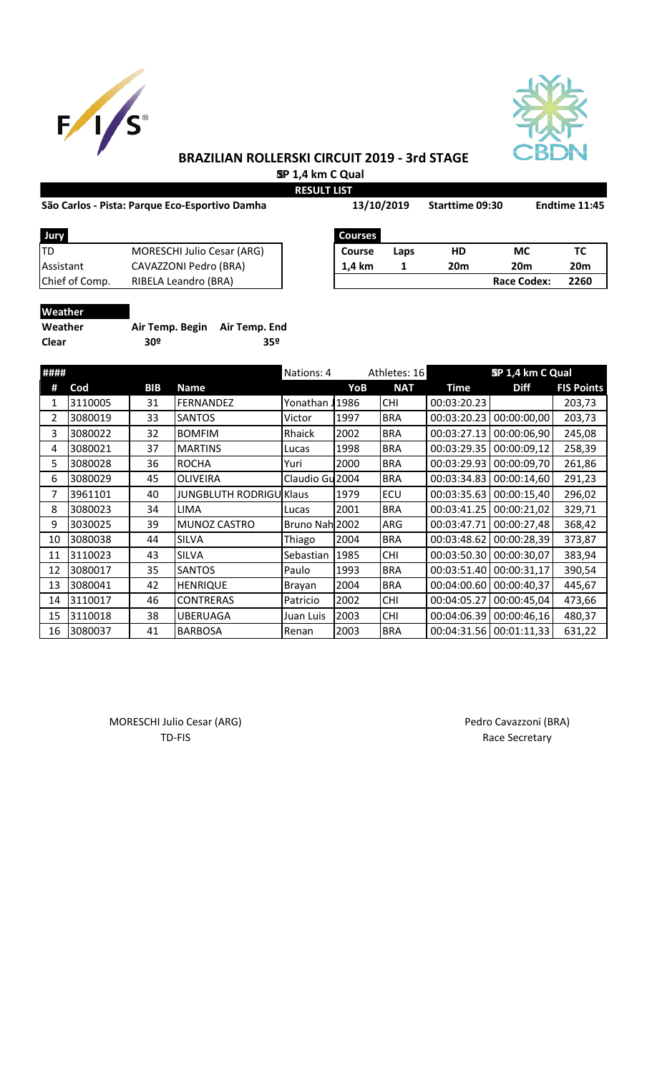



# **BRAZILIAN ROLLERSKI CIRCUIT 2019 - 3rd STAGE SP 1,4 km C Qual**

**RESULT LIST**

### São Carlos - Pista: Parque Eco-Esportivo Damha 13/10/2019 Starttime 09:30 Endtime 11:45

| São Carlos - Pista: Parque Eco-Esportivo Damha |                                   | 13/10/2019 |                | <b>Starttime 09:30</b> |                 | <b>Endtime 11:45</b> |                 |
|------------------------------------------------|-----------------------------------|------------|----------------|------------------------|-----------------|----------------------|-----------------|
| Jury                                           |                                   |            | <b>Courses</b> |                        |                 |                      |                 |
| TD                                             | <b>MORESCHI Julio Cesar (ARG)</b> |            | <b>Course</b>  | Laps                   | <b>HD</b>       | МC                   | тс              |
| Assistant                                      | CAVAZZONI Pedro (BRA)             |            | 1.4 km         |                        | 20 <sub>m</sub> | <b>20m</b>           | 20 <sub>m</sub> |
| Chief of Comp.                                 | RIBELA Leandro (BRA)              |            |                |                        |                 | <b>Race Codex:</b>   | 2260            |
|                                                |                                   |            |                |                        |                 |                      |                 |

| Weather |  |
|---------|--|
| Weather |  |

| Weather      | Air Temp. Begin Air Temp. End |     |
|--------------|-------------------------------|-----|
| <b>Clear</b> | 30º                           | 35º |

| #### |         | Nations: 4 |                                | Athletes: 16    |      | SP 1,4 km C Qual |             |             |                   |
|------|---------|------------|--------------------------------|-----------------|------|------------------|-------------|-------------|-------------------|
| #    | Cod     | <b>BIB</b> | Name                           |                 | YoB  | <b>NAT</b>       | <b>Time</b> | <b>Diff</b> | <b>FIS Points</b> |
| 1    | 3110005 | 31         | <b>FERNANDEZ</b>               | Yonathan        | 1986 | <b>CHI</b>       | 00:03:20.23 |             | 203,73            |
| 2    | 3080019 | 33         | <b>SANTOS</b>                  | Victor          | 1997 | <b>BRA</b>       | 00:03:20.23 | 00:00:00,00 | 203,73            |
| 3    | 3080022 | 32         | <b>BOMFIM</b>                  | Rhaick          | 2002 | <b>BRA</b>       | 00:03:27.13 | 00:00:06,90 | 245,08            |
| 4    | 3080021 | 37         | <b>MARTINS</b>                 | Lucas           | 1998 | <b>BRA</b>       | 00:03:29.35 | 00:00:09,12 | 258,39            |
| 5.   | 3080028 | 36         | <b>ROCHA</b>                   | Yuri            | 2000 | <b>BRA</b>       | 00:03:29.93 | 00:00:09,70 | 261,86            |
| 6    | 3080029 | 45         | OLIVEIRA                       | Claudio Gu 2004 |      | <b>BRA</b>       | 00:03:34.83 | 00:00:14,60 | 291,23            |
| 7    | 3961101 | 40         | <b>JUNGBLUTH RODRIGU Klaus</b> |                 | 1979 | ECU              | 00:03:35.63 | 00:00:15,40 | 296,02            |
| 8    | 3080023 | 34         | LIMA                           | Lucas           | 2001 | <b>BRA</b>       | 00:03:41.25 | 00:00:21,02 | 329,71            |
| 9    | 3030025 | 39         | <b>MUNOZ CASTRO</b>            | Bruno Nah 2002  |      | ARG              | 00:03:47.71 | 00:00:27,48 | 368,42            |
| 10   | 3080038 | 44         | <b>SILVA</b>                   | Thiago          | 2004 | <b>BRA</b>       | 00:03:48.62 | 00:00:28,39 | 373,87            |
| 11   | 3110023 | 43         | <b>SILVA</b>                   | Sebastian       | 1985 | <b>CHI</b>       | 00:03:50.30 | 00:00:30,07 | 383,94            |
| 12   | 3080017 | 35         | SANTOS                         | Paulo           | 1993 | <b>BRA</b>       | 00:03:51.40 | 00:00:31,17 | 390,54            |
| 13   | 3080041 | 42         | <b>HENRIQUE</b>                | Brayan          | 2004 | <b>BRA</b>       | 00:04:00.60 | 00:00:40,37 | 445,67            |
| 14   | 3110017 | 46         | <b>CONTRERAS</b>               | Patricio        | 2002 | <b>CHI</b>       | 00:04:05.27 | 00:00:45,04 | 473,66            |
| 15   | 3110018 | 38         | UBERUAGA                       | Juan Luis       | 2003 | <b>CHI</b>       | 00:04:06.39 | 00:00:46,16 | 480,37            |
| 16   | 3080037 | 41         | <b>BARBOSA</b>                 | Renan           | 2003 | <b>BRA</b>       | 00:04:31.56 | 00:01:11,33 | 631,22            |

MORESCHI Julio Cesar (ARG) MORESCHI Julio Cesar (ARG) TD-FIS Race Secretary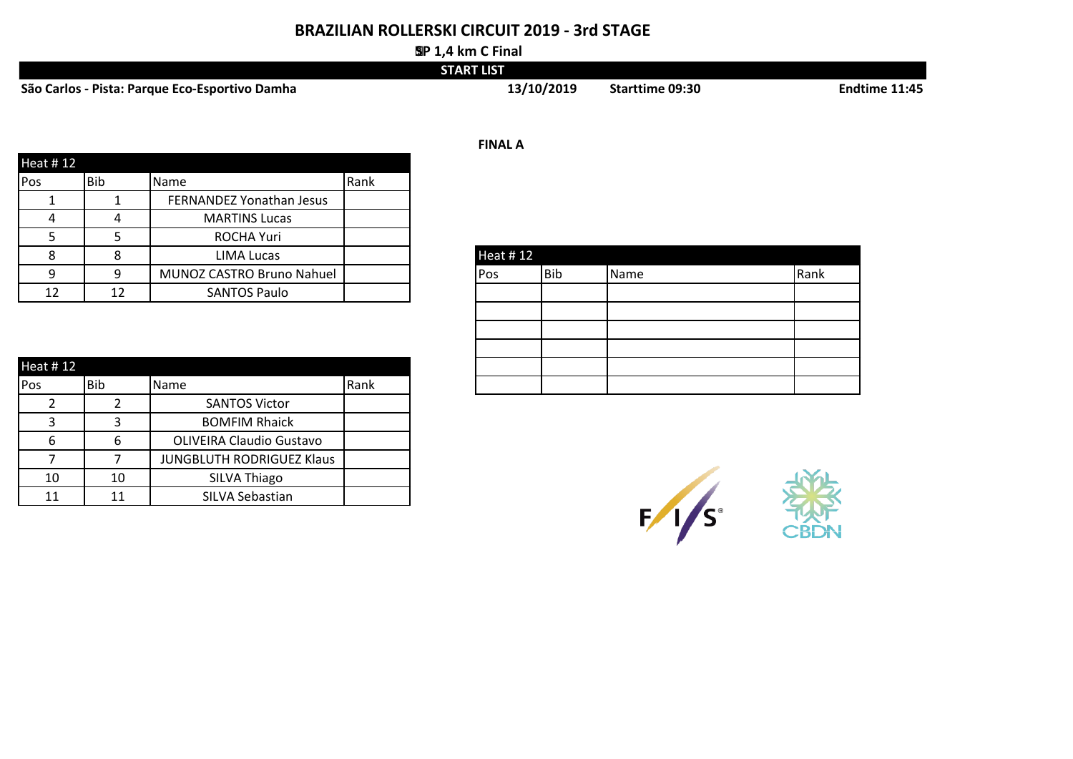# **BRAZILIAN ROLLERSKI CIRCUIT 2019 - 3rd STAGE**

### **SP 1,4 km C Final**

|                                                | <b>START LIST</b> |                        |                      |
|------------------------------------------------|-------------------|------------------------|----------------------|
| São Carlos - Pista: Parque Eco-Esportivo Damha | 13/10/2019        | <b>Starttime 09:30</b> | <b>Endtime 11:45</b> |

| <b>Heat #12</b>         |            |                           |      |
|-------------------------|------------|---------------------------|------|
| <b>Pos</b>              | <b>Bib</b> | Name                      | Rank |
|                         |            | FERNANDEZ Yonathan Jesus  |      |
| $\overline{\mathbf{r}}$ | 4          | <b>MARTINS Lucas</b>      |      |
|                         |            | ROCHA Yuri                |      |
| O                       |            | LIMA Lucas                |      |
| Q                       |            | MUNOZ CASTRO Bruno Nahuel |      |
| 12                      | 12         | <b>SANTOS Paulo</b>       |      |

| Heat #12 |     |      |      |  |  |  |  |
|----------|-----|------|------|--|--|--|--|
| Pos      | Bib | Name | Rank |  |  |  |  |
|          |     |      |      |  |  |  |  |
|          |     |      |      |  |  |  |  |
|          |     |      |      |  |  |  |  |
|          |     |      |      |  |  |  |  |
|          |     |      |      |  |  |  |  |
|          |     |      |      |  |  |  |  |
|          |     |      |      |  |  |  |  |

| Heat # 12 |            |                                 |      |  |  |
|-----------|------------|---------------------------------|------|--|--|
| Pos       | <b>Bib</b> | <b>Name</b>                     | Rank |  |  |
|           |            | <b>SANTOS Victor</b>            |      |  |  |
|           |            | <b>BOMFIM Rhaick</b>            |      |  |  |
| ь         | 6          | <b>OLIVEIRA Claudio Gustavo</b> |      |  |  |
|           |            | JUNGBLUTH RODRIGUEZ Klaus       |      |  |  |
| 10        | 10         | SILVA Thiago                    |      |  |  |
| 11        | 11         | SILVA Sebastian                 |      |  |  |

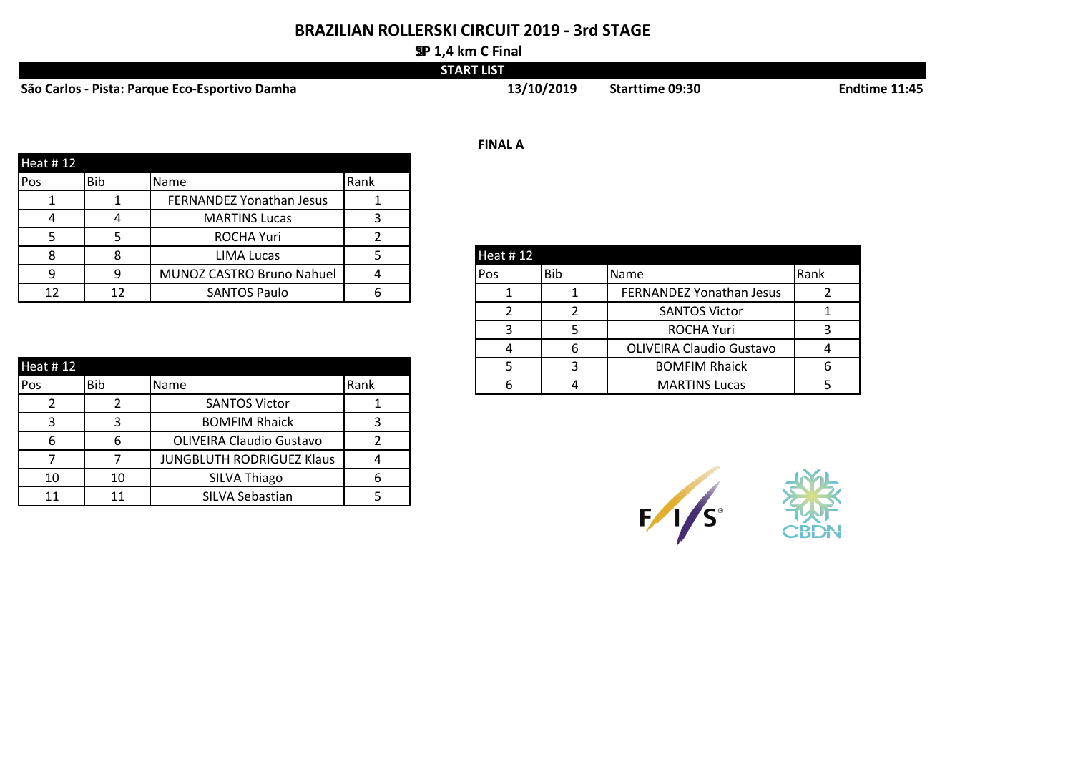# **BRAZILIAN ROLLERSKI CIRCUIT 2019 - 3rd STAGE**

#### **SP 1,4 km C Final**

|                                                | <b>START LIST</b> |                        |               |
|------------------------------------------------|-------------------|------------------------|---------------|
| São Carlos - Pista: Parque Eco-Esportivo Damha | 13/10/2019        | <b>Starttime 09:30</b> | Endtime 11:45 |

|            |            |                           |      | <b>FINAL A</b>              |      |
|------------|------------|---------------------------|------|-----------------------------|------|
| Heat #12   |            |                           |      |                             |      |
| <b>Pos</b> | <b>Bib</b> | Name                      | Rank |                             |      |
|            |            | FERNANDEZ Yonathan Jesus  |      |                             |      |
|            | 4          | <b>MARTINS Lucas</b>      |      |                             |      |
|            |            | <b>ROCHA Yuri</b>         |      |                             |      |
|            |            | LIMA Lucas                |      | Heat #12                    |      |
| Ω          |            | MUNOZ CASTRO Bruno Nahuel |      | Bib<br><b>Name</b><br>lPos. | Rank |
| 12         | 12         | <b>SANTOS Paulo</b>       |      | FERNANDEZ Yonathan Jesus    |      |

|           |            |                                  |      | 4 | OLIVEIRA Claudio Gustavo | 4 |
|-----------|------------|----------------------------------|------|---|--------------------------|---|
| Heat # 12 |            |                                  |      |   | <b>BOMFIM Rhaick</b>     |   |
| Pos       | <b>Bib</b> | Name                             | Rank |   | <b>MARTINS Lucas</b>     |   |
|           |            | <b>SANTOS Victor</b>             |      |   |                          |   |
|           |            | <b>BOMFIM Rhaick</b>             |      |   |                          |   |
| 6         | 6          | <b>OLIVEIRA Claudio Gustavo</b>  |      |   |                          |   |
|           |            | <b>JUNGBLUTH RODRIGUEZ Klaus</b> | Д    |   |                          |   |
| 10        | 10         | SILVA Thiago                     |      |   |                          |   |
| 11        |            | SILVA Sebastian                  |      |   |                          |   |

| Heat #12 |     |                                 |      |
|----------|-----|---------------------------------|------|
| Pos      | Bib | Name                            | Rank |
|          |     | FERNANDEZ Yonathan Jesus        |      |
|          |     | <b>SANTOS Victor</b>            |      |
| ₹        |     | <b>ROCHA Yuri</b>               |      |
|          |     | <b>OLIVEIRA Claudio Gustavo</b> |      |
|          |     | <b>BOMFIM Rhaick</b>            |      |
|          |     | <b>MARTINS Lucas</b>            |      |